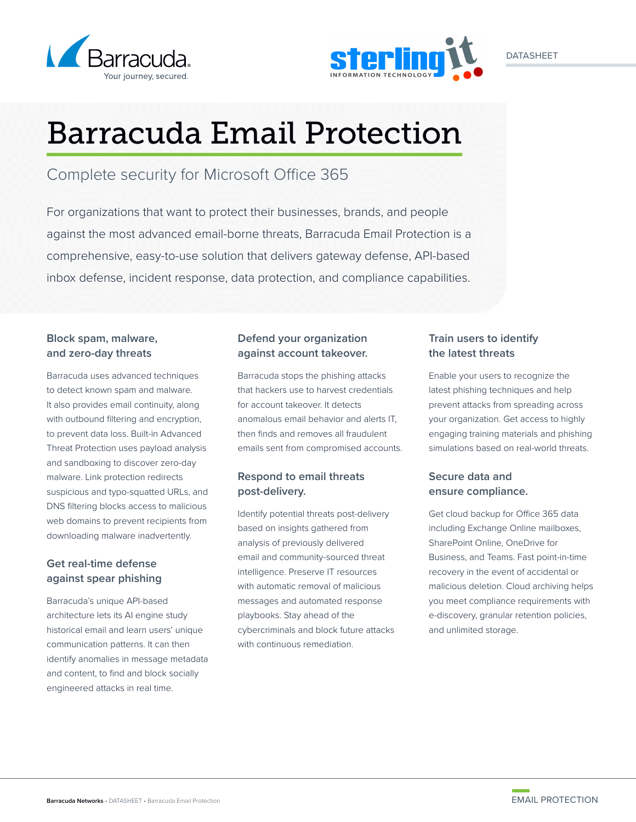



# Barracuda Email Protection

Complete security for Microsoft Office 365

For organizations that want to protect their businesses, brands, and people against the most advanced email-borne threats, Barracuda Email Protection is a comprehensive, easy-to-use solution that delivers gateway defense, API-based inbox defense, incident response, data protection, and compliance capabilities.

# **Block spam, malware, and zero-day threats**

Barracuda uses advanced techniques to detect known spam and malware. It also provides email continuity, along with outbound filtering and encryption, to prevent data loss. Built-in Advanced Threat Protection uses payload analysis and sandboxing to discover zero-day malware. Link protection redirects suspicious and typo-squatted URLs, and DNS filtering blocks access to malicious web domains to prevent recipients from downloading malware inadvertently.

# **Get real-time defense against spear phishing**

Barracuda's unique API-based architecture lets its AI engine study historical email and learn users' unique communication patterns. It can then identify anomalies in message metadata and content, to find and block socially engineered attacks in real time.

# **Defend your organization against account takeover.**

Barracuda stops the phishing attacks that hackers use to harvest credentials for account takeover. It detects anomalous email behavior and alerts IT, then finds and removes all fraudulent emails sent from compromised accounts.

# **Respond to email threats post-delivery.**

Identify potential threats post-delivery based on insights gathered from analysis of previously delivered email and community-sourced threat intelligence. Preserve IT resources with automatic removal of malicious messages and automated response playbooks. Stay ahead of the cybercriminals and block future attacks with continuous remediation.

# **Train users to identify the latest threats**

Enable your users to recognize the latest phishing techniques and help prevent attacks from spreading across your organization. Get access to highly engaging training materials and phishing simulations based on real-world threats.

# **Secure data and ensure compliance.**

Get cloud backup for Office 365 data including Exchange Online mailboxes, SharePoint Online, OneDrive for Business, and Teams. Fast point-in-time recovery in the event of accidental or malicious deletion. Cloud archiving helps you meet compliance requirements with e-discovery, granular retention policies, and unlimited storage.